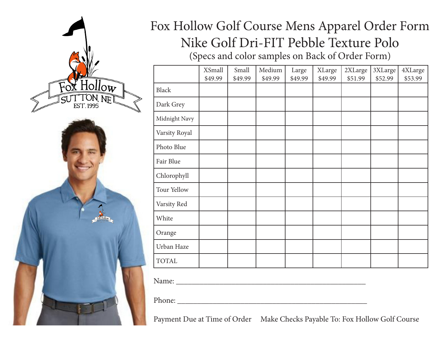

# Fox Hollow Golf Course Mens Apparel Order Form Nike Golf Dri-FIT Pebble Texture Polo (Specs and color samples on Back of Order Form)

|               | <b>XSmall</b><br>\$49.99 | Small<br>\$49.99 | Medium<br>\$49.99 | Large<br>\$49.99 | <b>XLarge</b><br>\$49.99 | 2XLarge<br>\$51.99 | 3XLarge<br>\$52.99 | 4XLarge<br>\$53.99 |
|---------------|--------------------------|------------------|-------------------|------------------|--------------------------|--------------------|--------------------|--------------------|
| <b>Black</b>  |                          |                  |                   |                  |                          |                    |                    |                    |
| Dark Grey     |                          |                  |                   |                  |                          |                    |                    |                    |
| Midnight Navy |                          |                  |                   |                  |                          |                    |                    |                    |
| Varsity Royal |                          |                  |                   |                  |                          |                    |                    |                    |
| Photo Blue    |                          |                  |                   |                  |                          |                    |                    |                    |
| Fair Blue     |                          |                  |                   |                  |                          |                    |                    |                    |
| Chlorophyll   |                          |                  |                   |                  |                          |                    |                    |                    |
| Tour Yellow   |                          |                  |                   |                  |                          |                    |                    |                    |
| Varsity Red   |                          |                  |                   |                  |                          |                    |                    |                    |
| White         |                          |                  |                   |                  |                          |                    |                    |                    |
| Orange        |                          |                  |                   |                  |                          |                    |                    |                    |
| Urban Haze    |                          |                  |                   |                  |                          |                    |                    |                    |
| <b>TOTAL</b>  |                          |                  |                   |                  |                          |                    |                    |                    |

Name: \_\_\_\_\_\_\_\_\_\_\_\_\_\_\_\_\_\_\_\_\_\_\_\_\_\_\_\_\_\_\_\_\_\_\_\_\_\_\_\_\_\_\_\_\_\_\_\_

Phone: \_\_\_\_\_\_\_\_\_\_\_\_\_\_\_\_\_\_\_\_\_\_\_\_\_\_\_\_\_\_\_\_\_\_\_\_\_\_\_\_\_\_\_\_\_\_\_\_

Payment Due at Time of Order Make Checks Payable To: Fox Hollow Golf Course